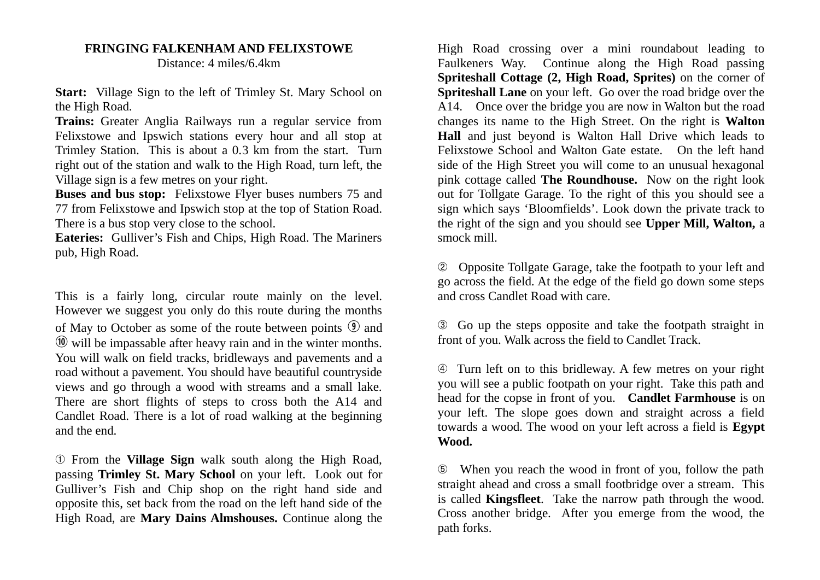## **FRINGING FALKENHAM AND FELIXSTOWE** Distance: 4 miles/6.4km

**Start:** Village Sign to the left of Trimley St. Mary School on the High Road.

**Trains:** Greater Anglia Railways run a regular service from Felixstowe and Ipswich stations every hour and all stop at Trimley Station. This is about a 0.3 km from the start. Turn right out of the station and walk to the High Road, turn left, the Village sign is a few metres on your right.

**Buses and bus stop:** Felixstowe Flyer buses numbers 75 and 77 from Felixstowe and Ipswich stop at the top of Station Road. There is a bus stop very close to the school.

**Eateries:** Gulliver's Fish and Chips, High Road. The Mariners pub, High Road.

This is a fairly long, circular route mainly on the level. However we suggest you only do this route during the months of May to October as some of the route between points  $\mathcal{D}$  and  $\omega$  will be impassable after heavy rain and in the winter months. You will walk on field tracks, bridleways and pavements and a road without a pavement. You should have beautiful countryside views and go through a wood with streams and a small lake. There are short flights of steps to cross both the A14 and Candlet Road. There is a lot of road walking at the beginning and the end.

➀ From the **Village Sign** walk south along the High Road, passing **Trimley St. Mary School** on your left. Look out for Gulliver's Fish and Chip shop on the right hand side and opposite this, set back from the road on the left hand side of the High Road, are **Mary Dains Almshouses.** Continue along the High Road crossing over a mini roundabout leading to Faulkeners Way. Continue along the High Road passing **Spriteshall Cottage (2, High Road, Sprites)** on the corner of **Spriteshall Lane** on your left. Go over the road bridge over the A14. Once over the bridge you are now in Walton but the road changes its name to the High Street. On the right is **Walton Hall** and just beyond is Walton Hall Drive which leads to Felixstowe School and Walton Gate estate. On the left hand side of the High Street you will come to an unusual hexagonal pink cottage called **The Roundhouse.** Now on the right look out for Tollgate Garage. To the right of this you should see a sign which says 'Bloomfields'. Look down the private track to the right of the sign and you should see **Upper Mill, Walton,** a smock mill.

➁Opposite Tollgate Garage, take the footpath to your left and go across the field. At the edge of the field go down some steps and cross Candlet Road with care.

➂ Go up the steps opposite and take the footpath straight in front of you. Walk across the field to Candlet Track.

➃ Turn left on to this bridleway. A few metres on your right you will see a public footpath on your right. Take this path and head for the copse in front of you. **Candlet Farmhouse** is on your left. The slope goes down and straight across a field towards a wood. The wood on your left across a field is **Egypt Wood.**

➄ When you reach the wood in front of you, follow the path straight ahead and cross a small footbridge over a stream. This is called **Kingsfleet**. Take the narrow path through the wood. Cross another bridge. After you emerge from the wood, the path forks.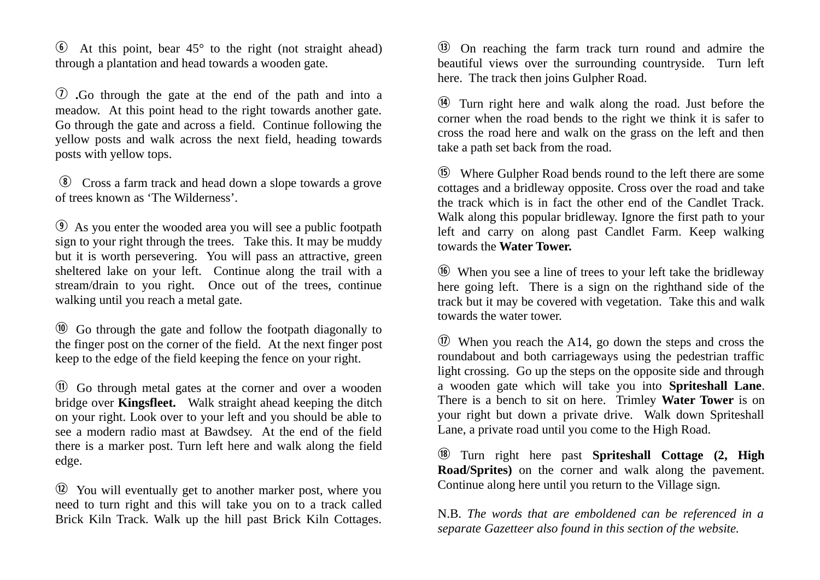$\odot$  At this point, bear 45 $\degree$  to the right (not straight ahead) through a plantation and head towards a wooden gate.

u **.**Go through the gate at the end of the path and into a meadow. At this point head to the right towards another gate. Go through the gate and across a field. Continue following the yellow posts and walk across the next field, heading towards posts with yellow tops.

i Cross a farm track and head down a slope towards a grove of trees known as 'The Wilderness'.

o As you enter the wooded area you will see a public footpath sign to your right through the trees. Take this. It may be muddy but it is worth persevering. You will pass an attractive, green sheltered lake on your left. Continue along the trail with a stream/drain to you right. Once out of the trees, continue walking until you reach a metal gate.

a Go through the gate and follow the footpath diagonally to the finger post on the corner of the field. At the next finger post keep to the edge of the field keeping the fence on your right.

s Go through metal gates at the corner and over a wooden bridge over **Kingsfleet.** Walk straight ahead keeping the ditch on your right. Look over to your left and you should be able to see a modern radio mast at Bawdsey. At the end of the field there is a marker post. Turn left here and walk along the field edge.

 $\omega$  You will eventually get to another marker post, where you need to turn right and this will take you on to a track called Brick Kiln Track. Walk up the hill past Brick Kiln Cottages.

**(3)** On reaching the farm track turn round and admire the beautiful views over the surrounding countryside. Turn left here. The track then joins Gulpher Road.

g Turn right here and walk along the road. Just before the corner when the road bends to the right we think it is safer to cross the road here and walk on the grass on the left and then take a path set back from the road.

h Where Gulpher Road bends round to the left there are some cottages and a bridleway opposite. Cross over the road and take the track which is in fact the other end of the Candlet Track. Walk along this popular bridleway. Ignore the first path to your left and carry on along past Candlet Farm. Keep walking towards the **Water Tower.** 

 $\circledR$  When you see a line of trees to your left take the bridleway here going left. There is a sign on the righthand side of the track but it may be covered with vegetation. Take this and walk towards the water tower.

 $\circled{1}$  When you reach the A14, go down the steps and cross the roundabout and both carriageways using the pedestrian traffic light crossing. Go up the steps on the opposite side and through a wooden gate which will take you into **Spriteshall Lane**. There is a bench to sit on here. Trimley **Water Tower** is on your right but down a private drive. Walk down Spriteshall Lane, a private road until you come to the High Road.

l Turn right here past **Spriteshall Cottage (2, High Road/Sprites)** on the corner and walk along the pavement. Continue along here until you return to the Village sign.

N.B. *The words that are emboldened can be referenced in a separate Gazetteer also found in this section of the website.*